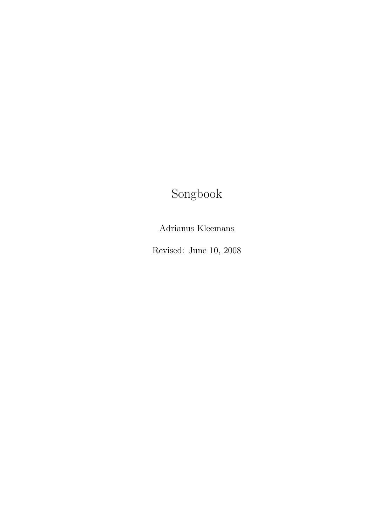# Songbook

Adrianus Kleemans

Revised: June 10, 2008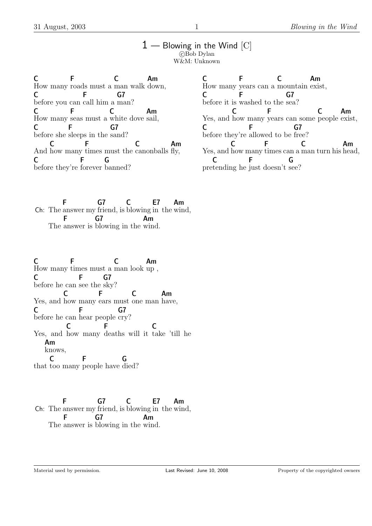#### $1$  — Blowing in the Wind  $[C]$  $C$ Bob Dylan W&M: Unknown

C How many roads must a man walk down, **F** C Am C before you can call him a man? F G7 C How many seas must a white dove sail, F C Am  $\mathsf{C}$ before she sleeps in the sand? F G7 And how many times must the canonballs fly, C F C Am C before they're forever banned? **Figure 19** G

C How many years can a mountain exist, F C Am C before it is washed to the sea? F G7 Yes, and how many years can some people exist, C F C Am  $\mathsf{C}$ before they're allowed to be free? F G7 Yes, and how many times can a man turn his head, C F C Am pre tending he just doesn't see? C **Figure 1999** G

Ch: The F answer my G7 friend, is C blowing in E7 the Am wind, The answer is blowing in the wind. F G7 Am

C C F C Am<br>How many times must a man look up, F C C before he can see the sky? F G7 Yes, and how many ears must one man have,  $\overline{C}$ F C Am C before he can hear people cry? **Figure 1** G7 Yes, and how many deaths will it take 'till he C F<sub>12</sub> C Am knows, that too many people have died? C F G

Ch: The answer my friend, is blowing in the wind, F G7 C E7 Am The answer is blowing in the wind. F  $G<sub>7</sub>$ Am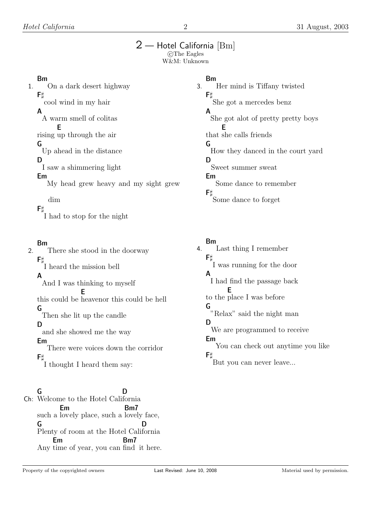# $2-$  Hotel California  $[\text{Bm}]$

CThe Eagles W&M: Unknown

#### Bm

1. On a dark desert highway  $F<sub>1</sub>$ cool wind in my hair A A warm smell of colitas rising up through the air E G Up ahead in the distance D I saw a shimmering light Em My head grew heavy and my sight grew dim  $F$ I had to stop for the night

### Bm

2. There she stood in the doorway  $F$ t I heard the mission bell A And I was thinking to myself this could be heavenor this could be hell E G Then she lit up the candle D and she showed me the way Em There were voices down the corridor  $\mathsf{F}\sharp$ I thought I heard them say:

#### Ch: Welcome to the Hotel Cali fornia G D such a lov ely place, such a lovely face, Em Bm7 G Plenty of room at the Hotel Cali fornia D Em

Any time of year, you can find it here. Bm7

### Bm

3. Her mind is Tiffany twisted  $F$ She got a mercedes benz A She got alot of pretty pretty boys that she calls friends E G How they danced in the court yard D Sweet summer sweat Em Some dance to remember  $F$ Some dance to forget

Bm

4. Last thing I remember  $F$ I was running for the door A I had find the passage back to the place I was before E G "Relax" said the night man D We are programmed to receive Em You can check out anytime you like  $F<sub>U</sub>$ But you can never leave...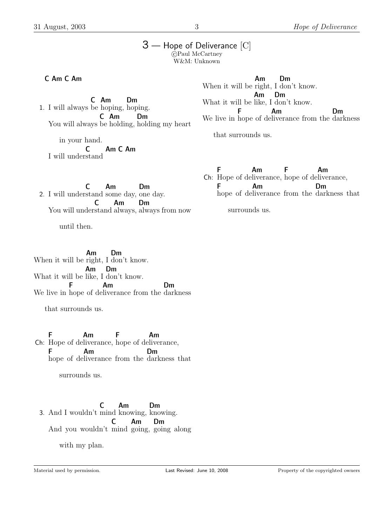#### 3 — Hope of Deliverance [C]  $c$  Paul McCartney W&M: Unknown

C Am C Am

1. I will always be hoping, hoping. C Am Dm You will always be holding, holding my heart C Am Dm

in your hand.

I will under stand C Am C Am When it will be right, I don't know. Am Dm What it will be like, I don't know. Am Dm We live in hope of de liverance from the darkness F Am Dm

that surrounds us.

2. I will under stand some day, one day. C Am Dm You will under stand always, always from now C Am Dm

until then.

When it will be right, I don't know. Am Dm What it will be like, I don't know. Am Dm We live in hope of de liverance from the darkness F Am Dm

that surrounds us.

Ch: Hope of de liverance, hope of de liverance, F Am F Am F hope of de liverance from the darkness that Am Dm

surrounds us.

3. And I wouldn't mind knowing, knowing. C Am Dm And you wouldn't mind going, going along C Am Dm

with my plan.

F Am F Am

Ch: Hope of de liverance, hope of de liverance, F hope of de liverance from the darkness that Am Dm

surrounds us.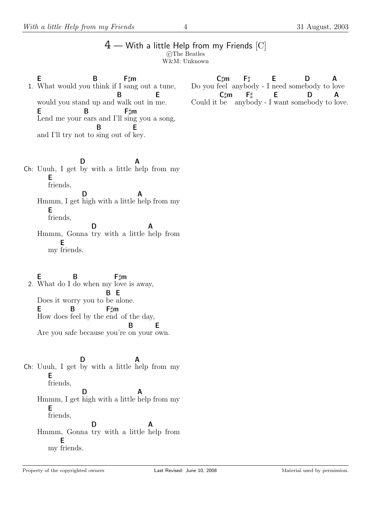#### $4 -$  With a little Help from my Friends  $[C]$ c The Beatles W&M: Unknown

1. What would you think if I sang out a tune, E B Ftm would you stand up and walk out in me. B E E Lend me your ears and I'll sing you a song, B F $\sharp$ m and I'll try not to sing out of key. B E

Ch: Uuuh, I get by with a little help from my D A E friends, Hmmm, I get high with a little help from my D A E friends, Hmmm, Gonna try with a little D A help from my friends. E

2. E What do I do when my love is away, B F#m Does it worry you to be alone. B E E How does feel by the end of the day, B Ftm Are you safe because you're on your own. B E

Ch: Uuuh, I get by with a little help from my D A E friends, Hmmm, I get high with a little help from my D A E friends, Hmmm, Gonna try with a little D A help from my friends. E

Do you feel any body - I need some body to love  $C \text{ }$ m  $F$  $\sharp$ E D A Could it be any body - I want some body to  $C \text{m}$  $F\sharp$ E D A love.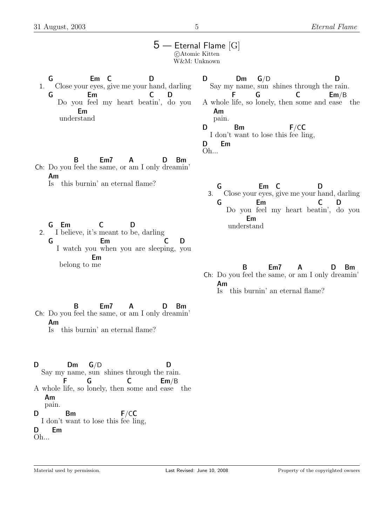|    | $5$ — Eternal Flame [G]                                                                                                                               | ©Atomic Kitten<br>W&M: Unknown                                                                                                                                                                                                  |
|----|-------------------------------------------------------------------------------------------------------------------------------------------------------|---------------------------------------------------------------------------------------------------------------------------------------------------------------------------------------------------------------------------------|
| 1. | G<br>Em <sub>c</sub><br>I)<br>Close your eyes, give me your hand, darling<br>G<br>Em<br>D<br>Do you feel my heart beatin', do you<br>Em<br>understand | G/D<br>Dm<br>D<br>D<br>Say my name, sun shines through the rain.<br>C<br>Em/B<br>G<br>A whole life, so lonely, then some and ease the<br>Am<br>pain.<br>F/CC<br>D<br>Bm<br>I don't want to lose this fee ling,<br>Em<br>D<br>Oh |
|    | B<br>Em7<br>Bm<br>A<br>D<br>Ch: Do you feel the same, or am I only dreamin'<br>Am<br>this burnin' an eternal flame?<br>$\rm \lg$                      | Em C<br>G<br>D<br>Close your eyes, give me your hand, darling<br>3.<br>Em<br>D<br>G<br>Do you feel my heart beatin', do you<br>Em                                                                                               |
| 2. | Em<br>I believe, it's meant to be, darling                                                                                                            | understand                                                                                                                                                                                                                      |

2. I believe, it's meant to be, darling G I watch you when you are sleep ing, you Em C D belong to me Em

Ch: Do you feel the same, or am I only drea min' B Em7 A D Bm Is this burnin' an eternal flame? Am

Ch: Do you feel the same, or am I only drea min' B Em7 A D Bm Is this burnin' an eternal flame? Am

D Say my name, sun shines through the rain. Dm G/D D A whole life, so lonely, then some and ease the F G C Em/B Am pain. D I don't want to lose this fee ling, Bm F/CC D Em

Oh...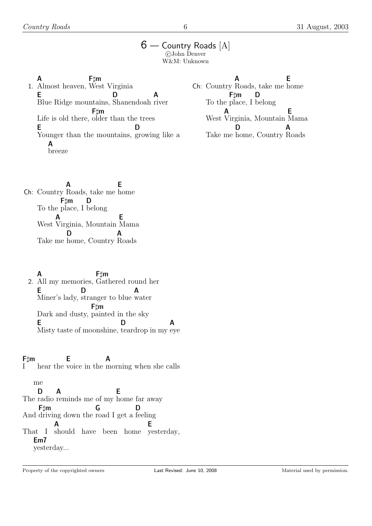### 6 — Country Roads [A] c John Denver W&M: Unknown

1. Almost heaven, West Virginia A Ftm E Blue Ridge mountains, Shanendoah river D A Life is old there, older than the trees  $F$   $\sharp$ m E Younger than the mountains, growing like a D A breeze

Ch: Country Roads, take me home A E To the place, I belong Ftm D West Virginia, Mountain Mama A E Take me home, Country Roads D A

Ch: Country Roads, take me home A E To the place, I belong Ftm D West A Virginia, Mountain Mama E Take me home, Country Roads D A

2. All my memories, Gathered round her A F‡m E Miner's lady, stranger to blue water D A Dark and dusty, painted in the sky Ftm E Misty taste of moonshine, teardrop in my eye D A

I Ftm hear the voice in the morning when she calls E A

me The radio reminds me of my home far away D A E And driving down the road I get a feeling Ftm G D That I should have been home yesterday, A E Em7 yesterday...

Property of the copyrighted owners **Last Revised:** June 10, 2008 Material used by permission.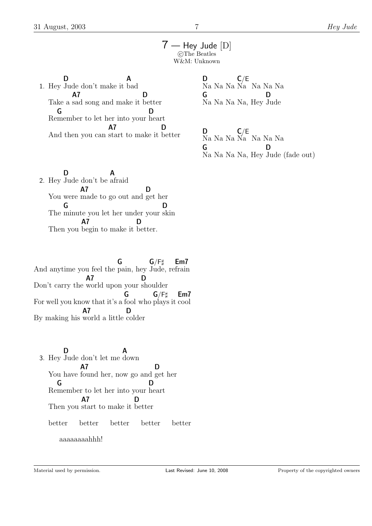7 — Hey Jude [D] CThe Beatles W&M: Unknown

1. Hey Jude don't make it bad D A Take a sad song and make it A7 D better Re member to let her into your heart G D And then you can start to make it better A7 D

D Na Na Na Na Na Na Na  $C/E$ G Na Na Na Na, Hey D Jude

D Na Na Na Na Na Na Na  $C/E$ G Na Na Na Na, Hey Jude (fade out) D

2. Hey Jude don't be D A afraid You were made to go out and get her A7 D The minute you let her under your skin G D Then you begin to make it better. A7 D

And anytime you feel the pain, hey Jude, re frain G  $G/F$ Em7 Don't carry the world upon your shoulder A7 D For well you know that it's a fool who plays it cool G  $G/F$ Em7 By making his world a little colder A7 D

3. Hey Jude don't let me down D A You have found her, now go and get her A7 D Re member to let her into your heart G D Then you start to make it better A7 D better better better better better aaaaaaaahhh!